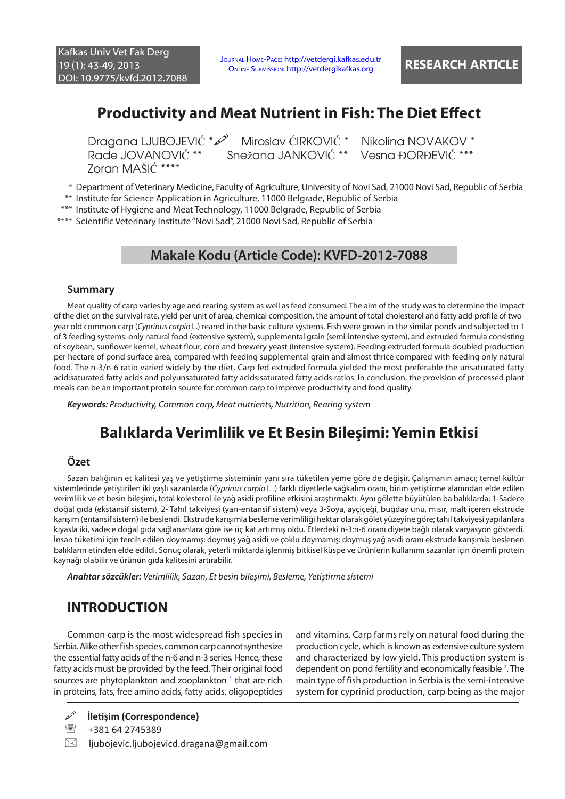# **Productivity and Meat Nutrient in Fish: The Diet Effect**

Zoran MAŠIĆ \*\*\*\*

Dragana LJUBOJEVIĆ \* $\infty$ ° Miroslav ĆIRKOVIĆ \* Nikolina NOVAKOV \* Rade JOVANOVIĆ \*\* Snežana JANKOVIĆ \*\* Vesna ĐORĐEVIĆ \*\*\* Snežana JANKOVIĆ \*\* Vesna ĐORĐEVIĆ \*\*\*

\* Department of Veterinary Medicine, Faculty of Agriculture, University of Novi Sad, 21000 Novi Sad, Republic of Serbia

\*\* Institute for Science Application in Agriculture, 11000 Belgrade, Republic of Serbia

\*\*\* Institute of Hygiene and Meat Technology, 11000 Belgrade, Republic of Serbia

\*\*\*\* Scientific Veterinary Institute "Novi Sad", 21000 Novi Sad, Republic of Serbia

# **Makale Kodu (Article Code): KVFD-2012-7088**

### **Summary**

Meat quality of carp varies by age and rearing system as well as feed consumed. The aim of the study was to determine the impact of the diet on the survival rate, yield per unit of area, chemical composition, the amount of total cholesterol and fatty acid profile of twoyear old common carp (*Cyprinus carpio* L.) reared in the basic culture systems. Fish were grown in the similar ponds and subjected to 1 of 3 feeding systems: only natural food (extensive system), supplemental grain (semi-intensive system), and extruded formula consisting of soybean, sunflower kernel, wheat flour, corn and brewery yeast (intensive system). Feeding extruded formula doubled production per hectare of pond surface area, compared with feeding supplemental grain and almost thrice compared with feeding only natural food. The n-3/n-6 ratio varied widely by the diet. Carp fed extruded formula yielded the most preferable the unsaturated fatty acid:saturated fatty acids and polyunsaturated fatty acids:saturated fatty acids ratios. In conclusion, the provision of processed plant meals can be an important protein source for common carp to improve productivity and food quality.

*Keywords: Productivity, Common carp, Meat nutrients, Nutrition, Rearing system*

# **Balıklarda Verimlilik ve Et Besin Bileşimi: Yemin Etkisi**

## **Özet**

Sazan balığının et kalitesi yaş ve yetiştirme sisteminin yanı sıra tüketilen yeme göre de değişir. Çalışmanın amacı; temel kültür sistemlerinde yetiştirilen iki yaşlı sazanlarda (*Cyprinus carpio* L .) farklı diyetlerle sağkalım oranı, birim yetiştirme alanından elde edilen verimlilik ve et besin bileşimi, total kolesterol ile yağ asidi profiline etkisini araştırmaktı. Aynı gölette büyütülen ba balıklarda; 1-Sadece doğal gıda (ekstansif sistem), 2- Tahıl takviyesi (yarı-entansif sistem) veya 3-Soya, ayçiçeği, buğday unu, mısır, malt içeren ekstrude karışım (entansif sistem) ile beslendi. Ekstrude karışımla besleme verimliliği hektar olarak gölet yüzeyine göre; tahıl takviyesi yapılanlara kıyasla iki, sadece doğal gıda sağlananlara göre ise üç kat artırmış oldu. Etlerdeki n-3:n-6 oranı diyete bağlı olarak varyasyon gösterdi. İnsan tüketimi için tercih edilen doymamış: doymuş yağ asidi ve çoklu doymamış: doymuş yağ asidi oranı ekstrude karışımla beslenen balıkların etinden elde edildi. Sonuç olarak, yeterli miktarda işlenmiş bitkisel küspe ve ürünlerin kullanımı sazanlar için önemli protein kaynağı olabilir ve ürünün gıda kalitesini artırabilir.

*Anahtar sözcükler: Verimlilik, Sazan, Et besin bileşimi, Besleme, Yetiştirme sistemi*

# **INTRODUCTION**

Common carp is the most widespread fish species in Serbia. Alike other fish species, common carp cannot synthesize the essential fatty acids of the n-6 and n-3 series. Hence, these fatty acids must be provided by the feed. Their original food sources are phytoplankton and zooplankton<sup>1</sup> [t](#page-6-0)hat are rich in proteins, fats, free amino acids, fatty acids, oligopeptides and vitamins. Carp farms rely on natural food during the production cycle, which is known as extensive culture system and characterized by low yield. This production system is dependent on pond fertility and economically feasible <sup>2</sup>. The main type of fish production in Serbia is the semi-intensive system for cyprinid production, carp being as the major

 $\boxtimes$  ljubojevic.ljubojevicd.dragana@gmail.com

**İletişim (Correspondence)**

<sup>&</sup>lt;sup>2</sup> +381 64 2745389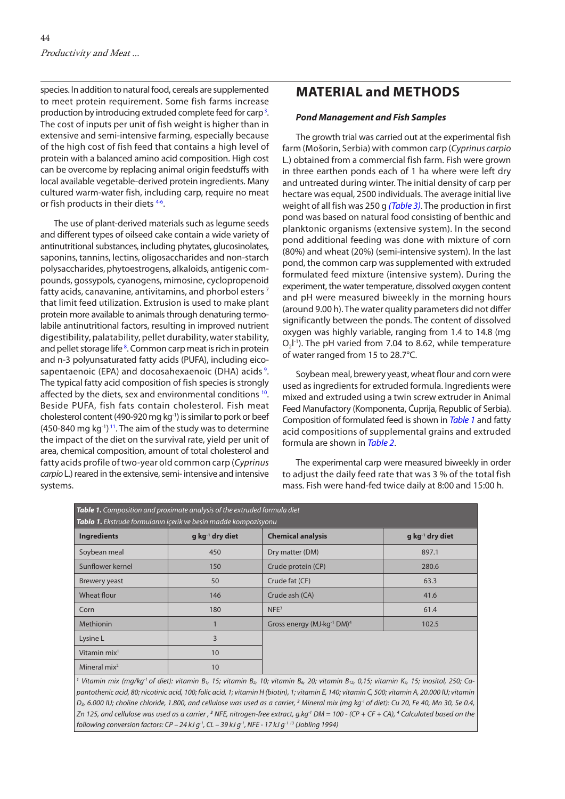species. In addition to natural food, cereals are supplemented to meet protein requirement. Some fish farms increase production by introducing extruded complete feed for carp<sup>[3](#page-6-0)</sup>. The cost of inputs per unit of fish weight is higher than in extensive and semi-intensive farming, especially because of the high cost of fish feed that contains a high level of protein with a balanced amino acid composition. High cost can be overcome by replacing animal origin feedstuffs with local available vegetable-derived protein ingredients. Many cultured warm-water fish, including carp, require no meat or fish products in their diets [4-6.](#page-6-0)

The use of plant-derived materials such as legume seeds and different types of oilseed cake contain a wide variety of antinutritional substances, including phytates, glucosinolates, saponins, tannins, lectins, oligosaccharides and non-starch polysaccharides, phytoestrogens, alkaloids, antigenic compounds, gossypols, cyanogens, mimosine, cyclopropenoid fatty acids, canavanine, antivitamins, and phorbol esters [7](#page-6-0) that limit feed utilization. Extrusion is used to make plant protein more available to animals through denaturing termolabile antinutritional factors, resulting in improved nutrient digestibility, palatability, pellet durability, water stability, and pellet storage life<sup>8</sup>. Common carp meat is rich in protein and n-3 polyunsaturated fatty acids (PUFA), including eico-sapentaenoic (EPA) and docosahexaenoic (DHA) acids <sup>[9](#page-6-0)</sup>. The typical fatty acid composition of fish species is strongly affected by the diets, sex and environmental conditions <sup>10</sup>. Beside PUFA, fish fats contain cholesterol. Fish meat cholesterol content (490-920 mg kg-1) is similar to pork or beef  $(450-840 \text{ mg kg}^{-1})$ <sup>11</sup>. The aim of the study was to determine the impact of the diet on the survival rate, yield per unit of area, chemical composition, amount of total cholesterol and fatty acids profile of two-year old common carp (*Cyprinus carpio* L.) reared in the extensive, semi- intensive and intensive systems.

# **MATERIAL and METHODS**

### *Pond Management and Fish Samples*

The growth trial was carried out at the experimental fish farm (Mošorin, Serbia) with common carp (*Cyprinus carpio*  L.) obtained from a commercial fish farm. Fish were grown in three earthen ponds each of 1 ha where were left dry and untreated during winter. The initial density of carp per hectare was equal, 2500 individuals. The average initial live weight of all fish was 250 g *[\(Table 3\)](#page-3-0)*. The production in first pond was based on natural food consisting of benthic and planktonic organisms (extensive system). In the second pond additional feeding was done with mixture of corn (80%) and wheat (20%) (semi-intensive system). In the last pond, the common carp was supplemented with extruded formulated feed mixture (intensive system). During the experiment, the water temperature, dissolved oxygen content and pH were measured biweekly in the morning hours (around 9.00 h). The water quality parameters did not differ significantly between the ponds. The content of dissolved oxygen was highly variable, ranging from 1.4 to 14.8 (mg  $O_2$ I<sup>-1</sup>). The pH varied from 7.04 to 8.62, while temperature of water ranged from 15 to 28.7°C.

Soybean meal, brewery yeast, wheat flour and corn were used as ingredients for extruded formula. Ingredients were mixed and extruded using a twin screw extruder in Animal Feed Manufactory (Komponenta, Ćuprija, Republic of Serbia). Composition of formulated feed is shown in *Table 1* and fatty acid compositions of supplemental grains and extruded formula are shown in *[Table 2](#page-2-0)*.

The experimental carp were measured biweekly in order to adjust the daily feed rate that was 3 % of the total fish mass. Fish were hand-fed twice daily at 8:00 and 15:00 h.

| Table 1. Composition and proximate analysis of the extruded formula diet                                                                                                                                                       |                             |                                                    |                             |  |  |
|--------------------------------------------------------------------------------------------------------------------------------------------------------------------------------------------------------------------------------|-----------------------------|----------------------------------------------------|-----------------------------|--|--|
| Tablo 1. Ekstrude formulanın içerik ve besin madde kompozisyonu                                                                                                                                                                |                             |                                                    |                             |  |  |
| <b>Ingredients</b>                                                                                                                                                                                                             | g kg <sup>-1</sup> dry diet | <b>Chemical analysis</b>                           | g kg <sup>-1</sup> dry diet |  |  |
| Soybean meal                                                                                                                                                                                                                   | 450                         | Dry matter (DM)                                    | 897.1                       |  |  |
| Sunflower kernel                                                                                                                                                                                                               | 150                         | Crude protein (CP)                                 | 280.6                       |  |  |
| <b>Brewery yeast</b>                                                                                                                                                                                                           | 50                          | Crude fat (CF)                                     | 63.3                        |  |  |
| <b>Wheat flour</b>                                                                                                                                                                                                             | 146                         | Crude ash (CA)                                     | 41.6                        |  |  |
| Corn                                                                                                                                                                                                                           | 180                         | NFE <sup>3</sup>                                   | 61.4                        |  |  |
| Methionin                                                                                                                                                                                                                      |                             | Gross energy (MJ·kg <sup>-1</sup> DM) <sup>4</sup> | 102.5                       |  |  |
| Lysine L                                                                                                                                                                                                                       | 3                           |                                                    |                             |  |  |
| Vitamin mix <sup>1</sup>                                                                                                                                                                                                       | 10                          |                                                    |                             |  |  |
| Mineral $mix2$                                                                                                                                                                                                                 | 10                          |                                                    |                             |  |  |
| <sup>1</sup> Vitamin mix (mg/kg <sup>-1</sup> of diet): vitamin B <sub>1</sub> , 15; vitamin B <sub>2</sub> , 10; vitamin B <sub>6</sub> , 20; vitamin B <sub>12</sub> , 0,15; vitamin K <sub>3</sub> , 15; inositol, 250; Ca- |                             |                                                    |                             |  |  |

*pantothenic acid, 80; nicotinic acid, 100; folic acid, 1; vitamin H (biotin), 1; vitamin E, 140; vitamin C, 500; vitamin A, 20.000 IU; vitamin*  D3, 6.000 IU; choline chloride, 1.800, and cellulose was used as a carrier, <sup>2</sup> Mineral mix (mg kg<sup>-1</sup> of diet): Cu 20, Fe 40, Mn 30, Se 0.4, Zn 125, and cellulose was used as a carrier , <sup>3</sup> NFE, nitrogen-free extract, g.kg<sup>-1</sup> DM = 100 - (CP + CF + CA), <sup>4</sup> Calculated based on the *following conversion factors: CP – 24 kJ g-1, CL – 39 kJ g-1, NFE - 17 kJ g-1 13 (Jobling 1994)*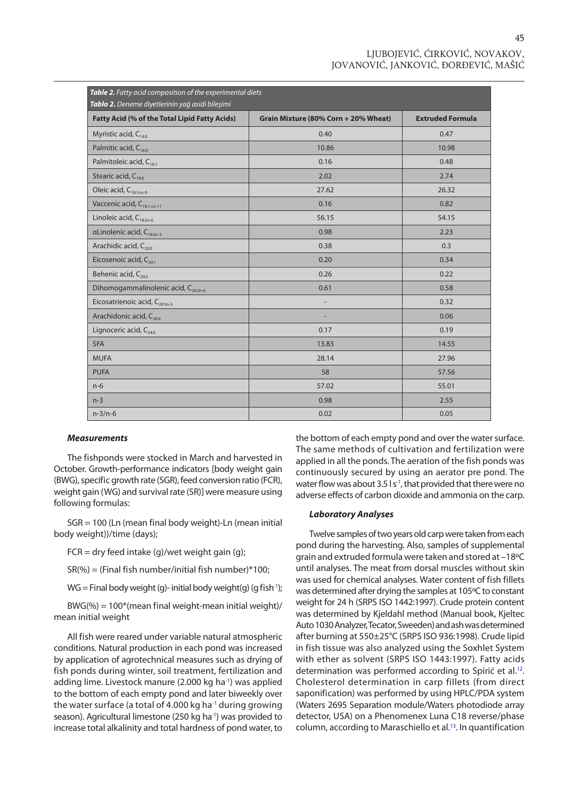45

<span id="page-2-0"></span>

| Table 2. Fatty acid composition of the experimental diets<br>Tablo 2. Deneme diyetlerinin yağ asidi bileşimi |                                      |                         |  |  |  |
|--------------------------------------------------------------------------------------------------------------|--------------------------------------|-------------------------|--|--|--|
| Fatty Acid (% of the Total Lipid Fatty Acids)                                                                | Grain Mixture (80% Corn + 20% Wheat) | <b>Extruded Formula</b> |  |  |  |
| Myristic acid, C <sub>14:0</sub>                                                                             | 0.40                                 | 0.47                    |  |  |  |
| Palmitic acid, C <sub>160</sub>                                                                              | 10.86                                | 10.98                   |  |  |  |
| Palmitoleic acid, C <sub>16:1</sub>                                                                          | 0.16                                 | 0.48                    |  |  |  |
| Stearic acid, C <sub>18:0</sub>                                                                              | 2.02                                 | 2.74                    |  |  |  |
| Oleic acid, C <sub>18:1cis-9</sub>                                                                           | 27.62                                | 26.32                   |  |  |  |
| Vaccenic acid, C <sub>18:1 cis-11</sub>                                                                      | 0.16                                 | 0.82                    |  |  |  |
| Linoleic acid, $C_{18:2n-6}$                                                                                 | 56.15                                | 54.15                   |  |  |  |
| $\alpha$ Linolenic acid, C <sub>18:3n-3</sub>                                                                | 0.98                                 | 2.23                    |  |  |  |
| Arachidic acid, C <sub>20:0</sub>                                                                            | 0.38                                 | 0.3                     |  |  |  |
| Eicosenoic acid, C <sub>20:1</sub>                                                                           | 0.20                                 | 0.34                    |  |  |  |
| Behenic acid, $C_{20:2}$                                                                                     | 0.26                                 | 0.22                    |  |  |  |
| Dihomogammalinolenic acid, C <sub>20:3n-6</sub>                                                              | 0.61                                 | 0.58                    |  |  |  |
| Eicosatrienoic acid, C <sub>20:3n-3</sub>                                                                    |                                      | 0.32                    |  |  |  |
| Arachidonic acid, C <sub>20:4</sub>                                                                          | ÷,                                   | 0.06                    |  |  |  |
| Lignoceric acid, C <sub>24:0</sub>                                                                           | 0.17                                 | 0.19                    |  |  |  |
| <b>SFA</b>                                                                                                   | 13.83                                | 14.55                   |  |  |  |
| <b>MUFA</b>                                                                                                  | 28.14                                | 27.96                   |  |  |  |
| <b>PUFA</b>                                                                                                  | 58                                   | 57.56                   |  |  |  |
| $n-6$                                                                                                        | 57.02                                | 55.01                   |  |  |  |
| $n-3$                                                                                                        | 0.98                                 | 2.55                    |  |  |  |
| $n-3/n-6$                                                                                                    | 0.02                                 | 0.05                    |  |  |  |

#### *Measurements*

The fishponds were stocked in March and harvested in October. Growth-performance indicators [body weight gain (BWG), specific growth rate (SGR), feed conversion ratio (FCR), weight gain (WG) and survival rate (SR)] were measure using following formulas:

SGR = 100 (Ln (mean final body weight)-Ln (mean initial body weight))/time (days);

 $FCR = dry feed intake (q)/wet weight gain (q);$ 

 $SR(\%) = (Final fish number/initial fish number)*100;$ 

 $WG = Final body weight(q) - initial body weight(q)$  (g fish<sup>-1</sup>);

BWG(%) = 100\*(mean final weight-mean initial weight)/ mean initial weight

All fish were reared under variable natural atmospheric conditions. Natural production in each pond was increased by application of agrotechnical measures such as drying of fish ponds during winter, soil treatment, fertilization and adding lime. Livestock manure (2.000 kg ha-1) was applied to the bottom of each empty pond and later biweekly over the water surface (a total of 4.000 kg ha<sup>-1</sup> during growing season). Agricultural limestone (250 kg ha<sup>-1</sup>) was provided to increase total alkalinity and total hardness of pond water, to the bottom of each empty pond and over the water surface. The same methods of cultivation and fertilization were applied in all the ponds. The aeration of the fish ponds was continuously secured by using an aerator pre pond. The water flow was about 3.5 l s<sup>-1</sup>, that provided that there were no adverse effects of carbon dioxide and ammonia on the carp.

### *Laboratory Analyses*

Twelve samples of two years old carp were taken from each pond during the harvesting. Also, samples of supplemental grain and extruded formula were taken and stored at –18ºC until analyses. The meat from dorsal muscles without skin was used for chemical аnаlyses. Water content of fish fillets was determined after drying the samples at 105ºC to constant weight for 24 h (SRPS ISO 1442:1997). Crude protein content was determined by Kjeldahl method (Manual book, Kjeltec Auto 1030 Analyzer, Tecator, Sweeden) and ash was determined after burning at 550±25°C (SRPS ISO 936:1998). Crude lipid in fish tissue was also analyzed using the Soxhlet System with ether as solvent (SRPS ISO 1443:1997). Fatty acids determination was performed according to Spirić et al.<sup>12</sup>. Cholesterol determination in carp fillets (from direct saponification) was performed by using HPLC/PDA system (Waters 2695 Separation module/Waters photodiode array detector, USA) on a Phenomenex Luna C18 reverse/phase column, according to Maraschiello et al.<sup>13</sup>. In quantification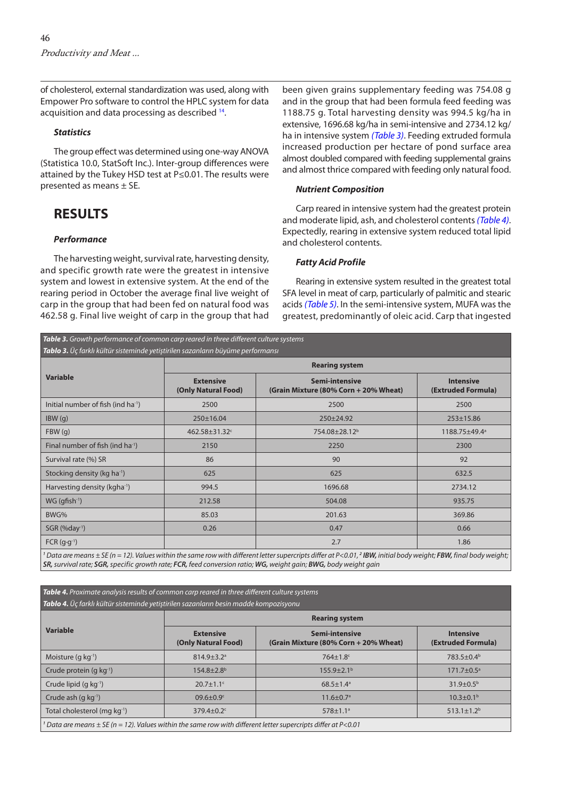<span id="page-3-0"></span>of cholesterol, external standardization was used, along with Empower Pro software to control the HPLC system for data acquisition and data processing as described <sup>14</sup>.

### *Statistics*

The group effect was determined using one-way ANOVA (Statistica 10.0, StatSoft Inc.). Inter-group differences were attained by the Tukey HSD test at P≤0.01. The results were presented as means ± SE.

## **RESULTS**

### *Performance*

The harvesting weight, survival rate, harvesting density, and specific growth rate were the greatest in intensive system and lowest in extensive system. At the end of the rearing period in October the average final live weight of carp in the group that had been fed on natural food was 462.58 g. Final live weight of carp in the group that had

been given grains supplementary feeding was 754.08 g and in the group that had been formula feed feeding was 1188.75 g. Total harvesting density was 994.5 kg/ha in extensive, 1696.68 kg/ha in semi-intensive and 2734.12 kg/ ha in intensive system *(Table 3)*. Feeding extruded formula increased production per hectare of pond surface area almost doubled compared with feeding supplemental grains and almost thrice compared with feeding only natural food.

### *Nutrient Composition*

Carp reared in intensive system had the greatest protein and moderate lipid, ash, and cholesterol contents *(Table 4)*. Expectedly, rearing in extensive system reduced total lipid and cholesterol contents.

#### *Fatty Acid Profile*

Rearing in extensive system resulted in the greatest total SFA level in meat of carp, particularly of palmitic and stearic acids *[\(Table 5\)](#page-5-0)*. In the semi-intensive system, MUFA was the greatest, predominantly of oleic acid. Carp that ingested

| <b>Variable</b>                                | <b>Rearing system</b>                   |                                                         |                                        |  |
|------------------------------------------------|-----------------------------------------|---------------------------------------------------------|----------------------------------------|--|
|                                                | <b>Extensive</b><br>(Only Natural Food) | Semi-intensive<br>(Grain Mixture (80% Corn + 20% Wheat) | <b>Intensive</b><br>(Extruded Formula) |  |
| Initial number of fish (ind ha <sup>-1</sup> ) | 2500                                    | 2500                                                    | 2500                                   |  |
| IBW(q)                                         | 250±16.04                               | $250 \pm 24.92$                                         | $253 \pm 15.86$                        |  |
| FBW(q)                                         | 462.58±31.32°                           | 754.08±28.12 <sup>b</sup>                               | 1188.75±49.4ª                          |  |
| Final number of fish (ind ha <sup>-1</sup> )   | 2150                                    | 2250                                                    | 2300                                   |  |
| Survival rate (%) SR                           | 86                                      | 90                                                      | 92                                     |  |
| Stocking density (kg ha <sup>-1</sup> )        | 625                                     | 625                                                     | 632.5                                  |  |
| Harvesting density (kgha-1)                    | 994.5                                   | 1696.68                                                 | 2734.12                                |  |
| $WG$ (qfish $^{-1}$ )                          | 212.58                                  | 504.08                                                  | 935.75                                 |  |
| BWG%                                           | 85.03                                   | 201.63                                                  | 369.86                                 |  |
| $SGR$ (%day <sup>1</sup> )                     | 0.26                                    | 0.47                                                    | 0.66                                   |  |
| $FCR (g·g-1)$                                  |                                         | 2.7                                                     | 1.86                                   |  |

*SR, survival rate; SGR, specific growth rate; FCR, feed conversion ratio; WG, weight gain; BWG, body weight gain*

*Table 4. Proximate analysis results of common carp reared in three different culture systems Tablo 4. Üç farklı kültür sisteminde yetiştirilen sazanların besin madde kompozisyonu*

| <b>Variable</b>                                                                                                 | <b>Rearing system</b>                   |                                                         |                                        |  |
|-----------------------------------------------------------------------------------------------------------------|-----------------------------------------|---------------------------------------------------------|----------------------------------------|--|
|                                                                                                                 | <b>Extensive</b><br>(Only Natural Food) | Semi-intensive<br>(Grain Mixture (80% Corn + 20% Wheat) | <b>Intensive</b><br>(Extruded Formula) |  |
| Moisture $(q kq^{-1})$                                                                                          | $814.9 \pm 3.2$ <sup>a</sup>            | $764 \pm 1.8$ c                                         | $783.5 \pm 0.4^b$                      |  |
| Crude protein $(q kq^{-1})$                                                                                     | $154.8 + 2.8$ <sup>b</sup>              | $155.9 \pm 2.1^{\circ}$                                 | $171.7 \pm 0.5^{\circ}$                |  |
| Crude lipid $(g kg^{-1})$                                                                                       | $20.7 \pm 1.1$ <sup>c</sup>             | $68.5 \pm 1.4$ <sup>a</sup>                             | $31.9 \pm 0.5^{\rm b}$                 |  |
| Crude ash $(q kq^{-1})$                                                                                         | $09.6 \pm 0.9$ <sup>c</sup>             | $11.6 \pm 0.7$ <sup>a</sup>                             | $10.3 \pm 0.1^{\circ}$                 |  |
| Total cholesterol (mg kg <sup>-1</sup> )                                                                        | $379.4 \pm 0.2$                         | $578 \pm 1.1$ <sup>a</sup>                              | $513.1 \pm 1.2^b$                      |  |
| Data are means $\pm$ SE (n = 12). Values within the same row with different letter supercripts differ at P<0.01 |                                         |                                                         |                                        |  |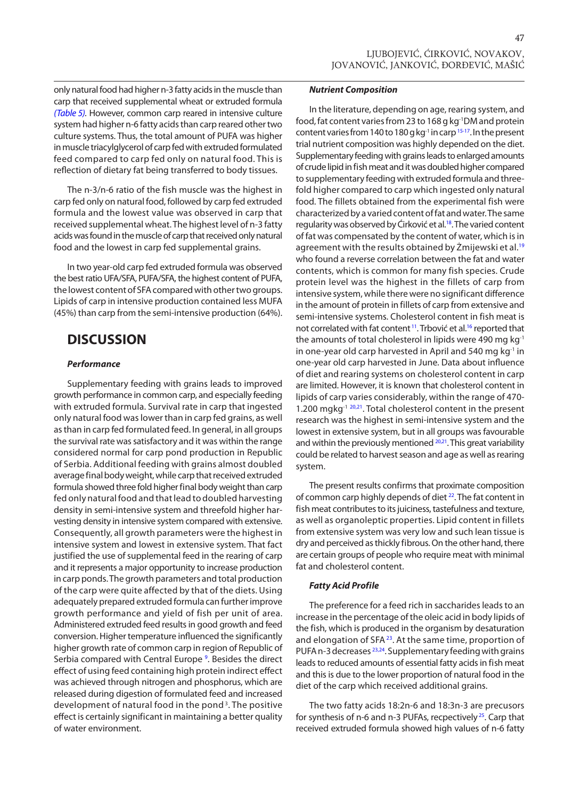47

only natural food had higher n-3 fatty acids in the muscle than carp that received supplemental wheat or extruded formula *[\(Table 5\).](#page-5-0)* However, common carp reared in intensive culture system had higher n-6 fatty acids than carp reared other two culture systems. Thus, the total amount of PUFA was higher in muscle triacylglycerol of carp fed with extruded formulated feed compared to carp fed only on natural food. This is reflection of dietary fat being transferred to body tissues.

The n-3/n-6 ratio of the fish muscle was the highest in carp fed only on natural food, followed by carp fed extruded formula and the lowest value was observed in carp that received supplemental wheat. The highest level of n-3 fatty acids was found in the muscle of carp that received only natural food and the lowest in carp fed supplemental grains.

In two year-old carp fed extruded formula was observed the best ratio UFA/SFA, PUFA/SFA, the highest content of PUFA, the lowest content of SFA compared with other two groups. Lipids of carp in intensive production contained less MUFA (45%) than carp from the semi-intensive production (64%).

# **DISCUSSION**

### *Performance*

Supplementary feeding with grains leads to improved growth performance in common carp, and especially feeding with extruded formula. Survival rate in carp that ingested only natural food was lower than in carp fed grains, as well as than in carp fed formulated feed. In general, in all groups the survival rate was satisfactory and it was within the range considered normal for carp pond production in Republic of Serbia. Additional feeding with grains almost doubled average final body weight, while carp that received extruded formula showed three fold higher final body weight than carp fed only natural food and that lead to doubled harvesting density in semi-intensive system and threefold higher harvesting density in intensive system compared with extensive. Consequently, all growth parameters were the highest in intensive system and lowest in extensive system. That fact justified the use of supplemental feed in the rearing of carp and it represents a major opportunity to increase production in carp ponds. The growth parameters and total production of the carp were quite affected by that of the diets. Using adequately prepared extruded formula can further improve growth performance and yield of fish per unit of area. Administered extruded feed results in good growth and feed conversion. Higher temperature influenced the significantly higher growth rate of common carp in region of Republic of Serbia compared with Central Europe<sup>9</sup>. Besides the direct effect of using feed containing high protein indirect effect was achieved through nitrogen and phosphorus, which are released during digestion of formulated feed and increased development of natural food in the pond [3](#page-6-0). The positive effect is certainly significant in maintaining a better quality of water environment.

### *Nutrient Composition*

In the literature, depending on age, rearing system, and food, fat content varies from 23 to 168 g kg-1DM and protein content varies from 140 to 180 g kg<sup>-1</sup> in carp <sup>15-17</sup>. In the present trial nutrient composition was highly depended on the diet. Supplementary feeding with grains leads to enlarged amounts of crude lipid in fish meat and it was doubled higher compared to supplementary feeding with extruded formula and threefold higher compared to carp which ingested only natural food. The fillets obtained from the experimental fish were characterized by a varied content of fat and water. The same regularity was observed by Cirković et al.<sup>18</sup>. The varied content of fat was compensated by the content of water, which is in agreement with the results obtained by Żmijewski et al.<sup>[19](#page-6-0)</sup> who found a reverse correlation between the fat and water contents, which is common for many fish species. Crude protein level was the highest in the fillets of carp from intensive system, while there were no significant difference in the amount of protein in fillets of carp from extensive and semi-intensive systems. Cholesterol content in fish meat is not correlated with fat content<sup>11</sup>. Trbović et al.<sup>16</sup> reported that the amounts of total cholesterol in lipids were 490 mg  $kg^{-1}$ in one-year old carp harvested in April and 540 mg  $kg<sup>-1</sup>$  in one-year old carp harvested in June. Data about influence of diet and rearing systems on cholesterol content in carp are limited. However, it is known that cholesterol content in lipids of carp varies considerably, within the range of 470- 1.200 mgkg<sup>-1 20,21</sup>. Total cholesterol content in the present research was the highest in semi-intensive system and the lowest in extensive system, but in all groups was favourable and within the previously mentioned  $20,21$ . This great variability could be related to harvest season and age as well as rearing system.

The present results confirms that proximate composition of common carp highly depends of diet <sup>22</sup>. The fat content in fish meat contributes to its juiciness, tastefulness and texture, as well as organoleptic properties. Lipid content in fillets from extensive system was very low and such lean tissue is dry and perceived as thickly fibrous. On the other hand, there are certain groups of people who require meat with minimal fat and cholesterol content.

### *Fatty Acid Profile*

The preference for a feed rich in saccharides leads to an increase in the percentage of the oleic acid in body lipids of the fish, which is produced in the organism by desaturation and elongation of SFA<sup>23</sup>. At the same time, proportion of PUFA n-3 decreases<sup>23,24</sup>. Supplementary feeding with grains leads to reduced amounts of essential fatty acids in fish meat and this is due to the lower proportion of natural food in the diet of the carp which received additional grains.

The two fatty acids 18:2n-6 and 18:3n-3 are precusors for synthesis of n-6 and n-3 PUFAs, recpectively <sup>25</sup>. Carp that received extruded formula showed high values of n-6 fatty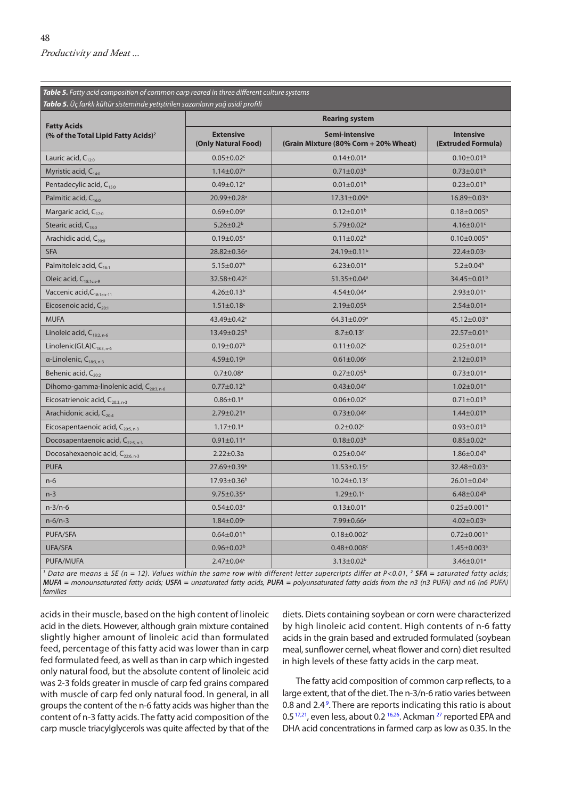<span id="page-5-0"></span>*Table 5. Fatty acid composition of common carp reared in three different culture systems Tablo 5. Üç farklı kültür sisteminde yetiştirilen sazanların yağ asidi profili* **Fatty Acids (% of the Total Lipid Fatty Acids)2 Rearing system Extensive (Only Natural Food) Semi-intensive (Grain Mixture (80% Corn + 20% Wheat) Intensive (Extruded Formula)** Lauric acid,  $C_{120}$  0.05±0.02c 0.14±0.01<sup>a</sup> 0.14±0.01<sup>a</sup> 0.10±0.01<sup>b</sup> Myristic acid, C<sub>14:0</sub> 1.14±0.07<sup>a</sup> 1.14±0.07<sup>a</sup> 0.71±0.03<sup>b</sup> 0.73±0.01<sup>b</sup> 0.73±0.01<sup>b</sup> Pentadecylic acid, C<sub>15:0</sub> 0.49±0.12<sup>a</sup> 0.49±0.12<sup>a</sup> 0.01±0.01<sup>b</sup> 0.23±0.01<sup>b</sup> 0.23±0.01<sup>b</sup> Palmitic acid, C<sub>16:0</sub> 20.99±0.28<sup>a</sup> 17.31±0.09<sup>b</sup> 16.89±0.03<sup>b</sup> 16.89±0.03<sup>b</sup> Margaric acid, C<sub>17:0</sub> 0.69±0.09<sup>a</sup> 0.69±0.09<sup>a</sup> 0.12±0.01<sup>b</sup> 0.18±0.005<sup>b</sup> 0.18±0.005<sup>b</sup> Stearic acid, C<sub>180</sub> 5.26±0.2b 5.26±0.2<sup>b</sup> 5.26±0.2<sup>b</sup> 5.79±0.02<sup>a</sup> 5.79±0.02<sup>a</sup> 4.16±0.01<sup>c</sup> Arachidic acid, C<sub>200</sub> 0.10±0.005<sup>b</sup> 0.19±0.05<sup>a</sup> 0.11±0.02<sup>b</sup> 0.11±0.02<sup>b</sup> 0.10±0.005<sup>b</sup> SFA 28.82±0.36a 24.19±0.11b 22.4±0.03c Palmitoleic acid, C<sub>16:1</sub> 5.2±0.04b 6.23±0.07b 6.23±0.01<sup>a</sup> 5.2±0.04b Oleic acid, C<sub>18:1cis-9</sub> 34.45±0.01<sup>b</sup> 32.58±0.42<sup>c</sup> 51.35±0.04<sup>a</sup> 34.45±0.01<sup>b</sup> 34.45±0.01<sup>b</sup> Vaccenic acid,C<sub>18:1cis-11</sub> 4.26±0.13<sup>b</sup> 4.26±0.13<sup>b</sup> 4.54±0.04<sup>a</sup> 4.54±0.04<sup>a</sup> 2.93±0.01<sup>c</sup> Eicosenoic acid, C<sub>20:1</sub> 2.54±0.01<sup>a</sup> 2.54±0.01<sup>a</sup> 2.54±0.01<sup>a</sup> 2.54±0.01<sup>a</sup>  $\textsf{MUFA} \quad \textcolor{red}{\mathsf{MUFA}} \quad \textcolor{red}{\mathsf{43.12:10.03:}} \quad \textcolor{red}{\mathsf{43.12:10.03:}} \quad \textcolor{red}{\mathsf{43.12:10.03:}} \quad \textcolor{red}{\mathsf{44.12:10.03:}} \quad \textcolor{red}{\mathsf{44.12:10.03:}} \quad \textcolor{red}{\mathsf{44.12:10.03:}} \quad \textcolor{red}{\mathsf{44.12:10.03:}} \quad \textcolor{red}{\mathsf{44.12:}} \quad$ Linoleic acid, C<sub>18:2, n-6</sub> 13.49±0.25<sup>b</sup> 8.7±0.13<sup>c</sup> 8.7±0.13<sup>c</sup> 22.57±0.01<sup>a</sup>  $\text{Linolenic}(\text{GLA})\text{C}_{183, n-6}$  0.19±0.07<sup>b</sup> 0.19±0.07<sup>b</sup> 0.11±0.02<sup>c</sup> 0.11±0.02<sup>c</sup> 0.25±0.01<sup>a</sup> α-Linolenic, C<sub>18:3, n-3</sub> 2.12±0.01<sup>b</sup> 4.59±0.19<sup>a</sup> 0.61±0.06<sup>c</sup> 2.12±0.01<sup>b</sup> 2.12±0.01<sup>b</sup> Behenic acid, C<sub>20:2</sub> 0.7±0.08 0.7±0.08<sup>a</sup> 0.7±0.08<sup>a</sup> 0.27±0.05<sup>b</sup> 0.73±0.01<sup>a</sup> Dihomo-gamma-linolenic acid, C<sub>203, n-6</sub> 0.77±0.12<sup>b</sup> 0.77±0.12<sup>b</sup> 0.43±0.04<sup>c</sup> 1.02±0.01<sup>a</sup> Eicosatrienoic acid, C<sub>20:3, n-3</sub> 0.86±0.1<sup>a</sup> 0.86±0.1<sup>a</sup> 0.06±0.02<sup>c</sup> 0.71±0.01<sup>b</sup> Arachidonic acid, C<sub>20:4</sub> 2.79±0.21<sup>a</sup> 2.79±0.21<sup>a</sup> 0.73±0.04<sup>c</sup> 1.44±0.01<sup>b</sup> 1.44±0.01<sup>b</sup> Eicosapentaenoic acid, C<sub>20:5, n-3</sub> 1.17±0.1<sup>a</sup> 1.17±0.1<sup>a</sup> 0.2±0.02<sup>c</sup> 0.93±0.01<sup>b</sup> 0.93±0.01<sup>b</sup> Docosapentaenoic acid, C<sub>225, n-3</sub> 0.91±0.11<sup>a</sup> 0.91±0.11<sup>a</sup> 0.18±0.03<sup>b</sup> 0.85±0.02<sup>a</sup> Docosahexaenoic acid, C<sub>226.n-3</sub> 2.22±0.3a 0.25±0.04<sup>c</sup> 1.86±0.04<sup>b</sup> 1.86±0.04<sup>c</sup> PUFA 27.69±0.39b 11.53±0.15c 32.48±0.03a n-6 17.93 $\pm 0.36$  17.93 $\pm 0.36$  10.24 $\pm 0.13$   $\in$   $10.24$ n-3 and the state of the state  $9.75\pm0.35^{\circ}$  and the state  $1.29\pm0.1^{\circ}$  and the state  $6.48\pm0.04^{\circ}$ n-3/n-6 0.54±0.03a 0.13±0.01c 0.25±0.001b n-6/n-3 1.84±0.09<sup>c</sup> 7.99±0.66<sup>a</sup> 7.99±0.66<sup>a</sup> 4.02±0.03<sup>b</sup>  $\textrm{PUFA/STA} \hspace{1.5cm} 0.72 \pm 0.001^{\circ}$   $\textrm{0.64} \pm 0.01^{\circ}$   $\textrm{0.78} \pm 0.002^{\circ}$   $\textrm{0.72} \pm 0.001^{\circ}$  $\mathsf{UFA/SFA}$  0.96 $\pm 0.02^\mathrm{b}$  0.96 $\pm 0.02^\mathrm{b}$  0.48 $\pm 0.003^\mathrm{c}$  0.48 $\pm 0.003^\mathrm{c}$  1.45 $\pm 0.003^\mathrm{c}$ PUFA/MUFA 2.47±0.04c 3.13±0.02b 3.46±0.01a

*1 Data are means ± SE (n = 12). Values within the same row with different letter supercripts differ at P<0.01, <sup>2</sup> SFA = saturated fatty acids; MUFA = monounsaturated fatty acids; USFA = unsaturated fatty acids, PUFA = polyunsaturated fatty acids from the n3 (n3 PUFA) and n6 (n6 PUFA) families*

acids in their muscle, based on the high content of linoleic acid in the diets. However, although grain mixture contained slightly higher amount of linoleic acid than formulated feed, percentage of this fatty acid was lower than in carp fed formulated feed, as well as than in carp which ingested only natural food, but the absolute content of linoleic acid was 2-3 folds greater in muscle of carp fed grains compared with muscle of carp fed only natural food. In general, in all groups the content of the n-6 fatty acids was higher than the content of n-3 fatty acids. The fatty acid composition of the carp muscle triacylglycerols was quite affected by that of the

diets. Diets containing soybean or corn were characterized by high linoleic acid content. High contents of n-6 fatty acids in the grain based and extruded formulated (soybean meal, sunflower cernel, wheat flower and corn) diet resulted in high levels of these fatty acids in the carp meat.

The fatty acid composition of common carp reflects, to a large extent, that of the diet. The n-3/n-6 ratio varies between 0.8 and 2.4<sup>9</sup>. There are reports indicating this ratio is about 0.5<sup>17,21</sup>, even less, about 0.2<sup>16,26</sup>. Ackman <sup>27</sup> reported EPA and DHA acid concentrations in farmed carp as low as 0.35. In the